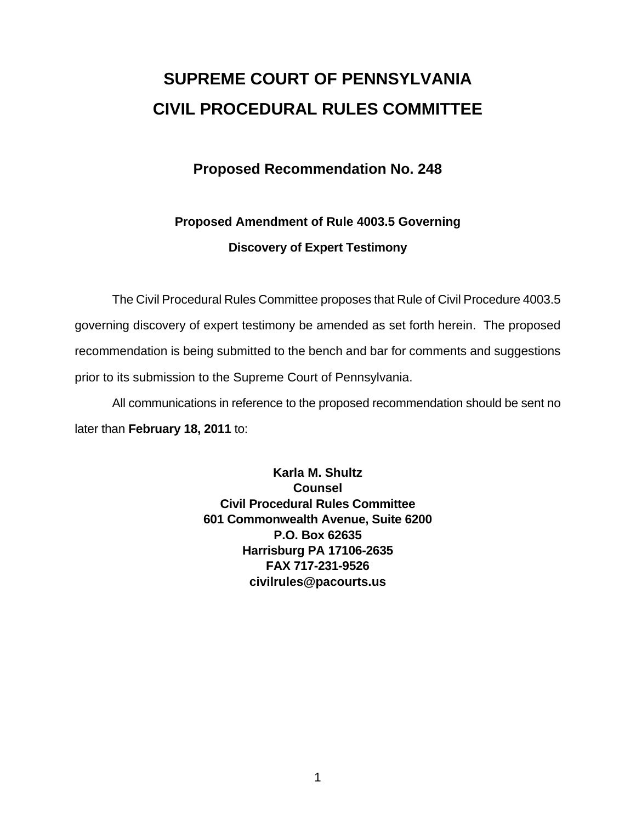# **SUPREME COURT OF PENNSYLVANIA CIVIL PROCEDURAL RULES COMMITTEE**

### **Proposed Recommendation No. 248**

## **Proposed Amendment of Rule 4003.5 Governing Discovery of Expert Testimony**

 The Civil Procedural Rules Committee proposes that Rule of Civil Procedure 4003.5 governing discovery of expert testimony be amended as set forth herein. The proposed recommendation is being submitted to the bench and bar for comments and suggestions prior to its submission to the Supreme Court of Pennsylvania.

 All communications in reference to the proposed recommendation should be sent no later than **February 18, 2011** to:

> **Karla M. Shultz Counsel Civil Procedural Rules Committee 601 Commonwealth Avenue, Suite 6200 P.O. Box 62635 Harrisburg PA 17106-2635 FAX 717-231-9526 civilrules@pacourts.us**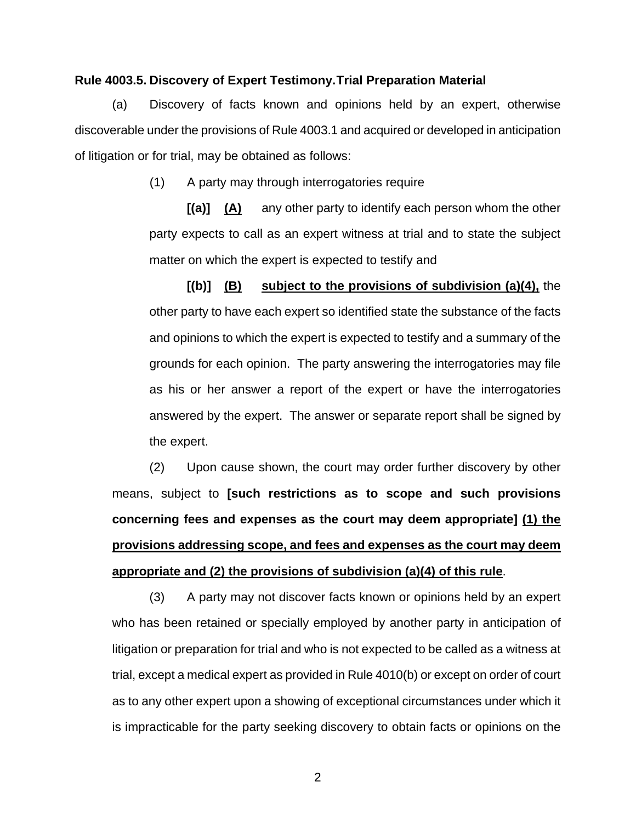#### **Rule 4003.5. Discovery of Expert Testimony. Trial Preparation Material**

(a) Discovery of facts known and opinions held by an expert, otherwise discoverable under the provisions of Rule 4003.1 and acquired or developed in anticipation of litigation or for trial, may be obtained as follows:

(1) A party may through interrogatories require

**[(a)] (A)** any other party to identify each person whom the other party expects to call as an expert witness at trial and to state the subject matter on which the expert is expected to testify and

**[(b)] (B) subject to the provisions of subdivision (a)(4),** the other party to have each expert so identified state the substance of the facts and opinions to which the expert is expected to testify and a summary of the grounds for each opinion. The party answering the interrogatories may file as his or her answer a report of the expert or have the interrogatories answered by the expert. The answer or separate report shall be signed by the expert.

(2) Upon cause shown, the court may order further discovery by other means, subject to **[such restrictions as to scope and such provisions concerning fees and expenses as the court may deem appropriate] (1) the provisions addressing scope, and fees and expenses as the court may deem appropriate and (2) the provisions of subdivision (a)(4) of this rule**.

(3) A party may not discover facts known or opinions held by an expert who has been retained or specially employed by another party in anticipation of litigation or preparation for trial and who is not expected to be called as a witness at trial, except a medical expert as provided in Rule 4010(b) or except on order of court as to any other expert upon a showing of exceptional circumstances under which it is impracticable for the party seeking discovery to obtain facts or opinions on the

2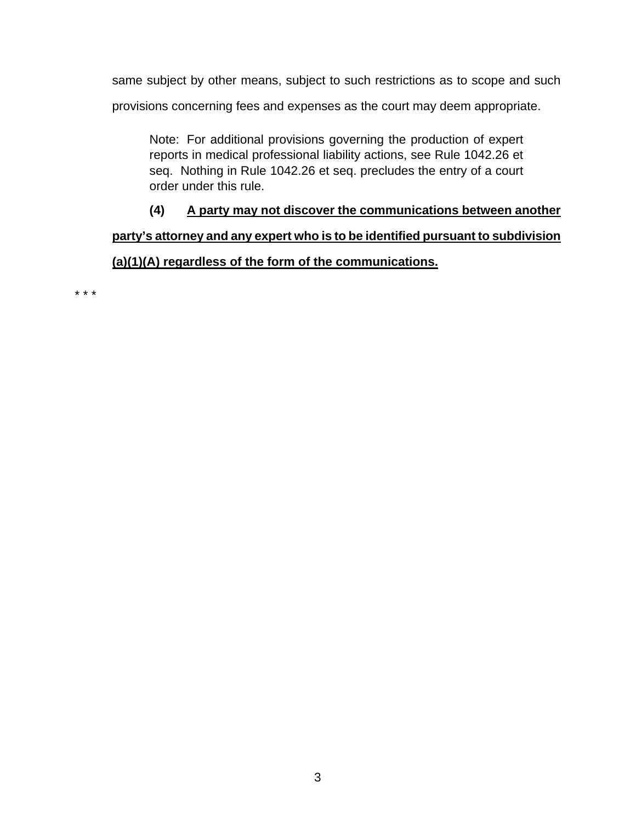same subject by other means, subject to such restrictions as to scope and such

provisions concerning fees and expenses as the court may deem appropriate.

Note: For additional provisions governing the production of expert reports in medical professional liability actions, see Rule 1042.26 et seq. Nothing in Rule 1042.26 et seq. precludes the entry of a court order under this rule.

**(4) A party may not discover the communications between another** 

## **party's attorney and any expert who is to be identified pursuant to subdivision (a)(1)(A) regardless of the form of the communications.**

\* \* \*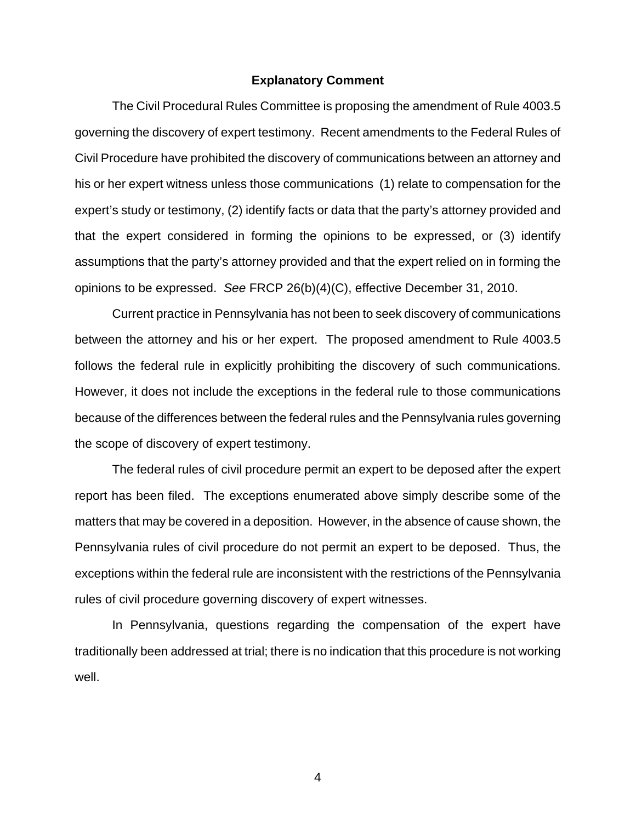#### **Explanatory Comment**

The Civil Procedural Rules Committee is proposing the amendment of Rule 4003.5 governing the discovery of expert testimony. Recent amendments to the Federal Rules of Civil Procedure have prohibited the discovery of communications between an attorney and his or her expert witness unless those communications (1) relate to compensation for the expert's study or testimony, (2) identify facts or data that the party's attorney provided and that the expert considered in forming the opinions to be expressed, or (3) identify assumptions that the party's attorney provided and that the expert relied on in forming the opinions to be expressed. *See* FRCP 26(b)(4)(C), effective December 31, 2010.

 Current practice in Pennsylvania has not been to seek discovery of communications between the attorney and his or her expert. The proposed amendment to Rule 4003.5 follows the federal rule in explicitly prohibiting the discovery of such communications. However, it does not include the exceptions in the federal rule to those communications because of the differences between the federal rules and the Pennsylvania rules governing the scope of discovery of expert testimony.

The federal rules of civil procedure permit an expert to be deposed after the expert report has been filed. The exceptions enumerated above simply describe some of the matters that may be covered in a deposition. However, in the absence of cause shown, the Pennsylvania rules of civil procedure do not permit an expert to be deposed. Thus, the exceptions within the federal rule are inconsistent with the restrictions of the Pennsylvania rules of civil procedure governing discovery of expert witnesses.

 In Pennsylvania, questions regarding the compensation of the expert have traditionally been addressed at trial; there is no indication that this procedure is not working well.

4